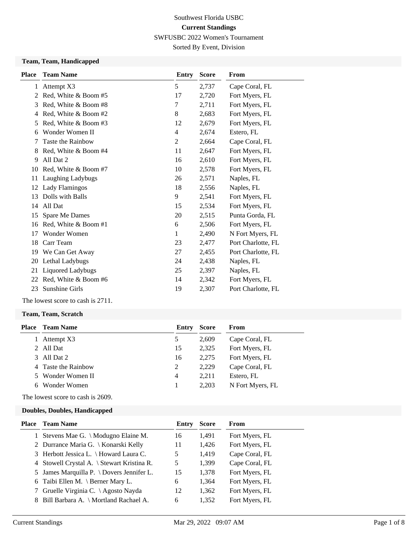Sorted By Event, Division

#### **Team, Team, Handicapped**

| <b>Place</b> | <b>Team Name</b>      | Entry          | <b>Score</b> | From               |
|--------------|-----------------------|----------------|--------------|--------------------|
| 1            | Attempt X3            | 5              | 2,737        | Cape Coral, FL     |
| 2            | Red, White & Boom #5  | 17             | 2,720        | Fort Myers, FL     |
| 3            | Red, White & Boom #8  | 7              | 2,711        | Fort Myers, FL     |
| 4            | Red, White & Boom #2  | 8              | 2,683        | Fort Myers, FL     |
| 5            | Red, White & Boom #3  | 12             | 2,679        | Fort Myers, FL     |
| 6            | Wonder Women II       | 4              | 2,674        | Estero, FL         |
| 7            | Taste the Rainbow     | $\overline{c}$ | 2,664        | Cape Coral, FL     |
| 8            | Red, White & Boom #4  | 11             | 2,647        | Fort Myers, FL     |
| 9            | All Dat 2             | 16             | 2,610        | Fort Myers, FL     |
| 10           | Red, White & Boom #7  | 10             | 2,578        | Fort Myers, FL     |
| 11           | Laughing Ladybugs     | 26             | 2,571        | Naples, FL         |
| 12           | <b>Lady Flamingos</b> | 18             | 2,556        | Naples, FL         |
| 13           | Dolls with Balls      | 9              | 2,541        | Fort Myers, FL     |
| 14           | All Dat               | 15             | 2,534        | Fort Myers, FL     |
| 15           | Spare Me Dames        | 20             | 2,515        | Punta Gorda, FL    |
| 16           | Red, White & Boom #1  | 6              | 2,506        | Fort Myers, FL     |
| 17           | Wonder Women          | $\mathbf{1}$   | 2,490        | N Fort Myers, FL   |
| 18           | Carr Team             | 23             | 2,477        | Port Charlotte, FL |
| 19           | We Can Get Away       | 27             | 2,455        | Port Charlotte, FL |
| 20           | Lethal Ladybugs       | 24             | 2,438        | Naples, FL         |
| 21           | Liquored Ladybugs     | 25             | 2,397        | Naples, FL         |
| 22           | Red, White & Boom #6  | 14             | 2,342        | Fort Myers, FL     |
| 23           | Sunshine Girls        | 19             | 2,307        | Port Charlotte, FL |
|              |                       |                |              |                    |

The lowest score to cash is 2711.

#### **Team, Team, Scratch**

| Place | <b>Team Name</b>  | Entry | <b>Score</b> | From             |
|-------|-------------------|-------|--------------|------------------|
|       | Attempt X3        | 5     | 2.609        | Cape Coral, FL   |
|       | All Dat           | 15    | 2,325        | Fort Myers, FL   |
| 3     | All Dat 2         | 16    | 2.275        | Fort Myers, FL   |
| 4     | Taste the Rainbow | 2     | 2.229        | Cape Coral, FL   |
| 5.    | Wonder Women II   | 4     | 2.211        | Estero, FL       |
| 6     | Wonder Women      |       | 2.203        | N Fort Myers, FL |

The lowest score to cash is 2609.

#### **Doubles, Doubles, Handicapped**

| <b>Place</b> Team Name                               | Entry | <b>Score</b> | From           |
|------------------------------------------------------|-------|--------------|----------------|
| 1 Stevens Mae G. \ Modugno Elaine M.                 | 16    | 1,491        | Fort Myers, FL |
| 2 Durrance Maria G.   Konarski Kelly                 | 11    | 1,426        | Fort Myers, FL |
| 3 Herbott Jessica L. \ Howard Laura C.               | 5     | 1,419        | Cape Coral, FL |
| 4 Stowell Crystal A. \ Stewart Kristina R.           | 5     | 1,399        | Cape Coral, FL |
| 5 James Marquilla P. $\backslash$ Dovers Jennifer L. | 15    | 1,378        | Fort Myers, FL |
| 6 Taibi Ellen M. \ Berner Mary L.                    | 6     | 1,364        | Fort Myers, FL |
| 7 Gruelle Virginia C. \ Agosto Nayda                 | 12    | 1,362        | Fort Myers, FL |
| 8 Bill Barbara A. \ Mortland Rachael A.              | 6     | 1,352        | Fort Myers, FL |
|                                                      |       |              |                |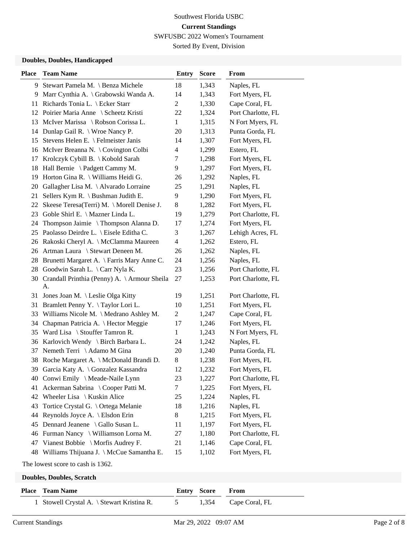Sorted By Event, Division

### **Doubles, Doubles, Handicapped**

| <b>Place</b> | <b>Team Name</b>                                      | <b>Entry</b>   | <b>Score</b> | From               |  |  |  |
|--------------|-------------------------------------------------------|----------------|--------------|--------------------|--|--|--|
| 9.           | Stewart Pamela M. \ Benza Michele                     | 18             | 1,343        | Naples, FL         |  |  |  |
| 9.           | Marr Cynthia A. \ Grabowski Wanda A.                  | 14             | 1,343        | Fort Myers, FL     |  |  |  |
| 11           | Richards Tonia L. \ Ecker Starr                       | $\overline{c}$ | 1,330        | Cape Coral, FL     |  |  |  |
|              | 12 Poirier Maria Anne \ Scheetz Kristi                | 22             | 1,324        | Port Charlotte, FL |  |  |  |
| 13           | McIver Marissa \ Robson Corissa L.                    | $\mathbf{1}$   | 1,315        | N Fort Myers, FL   |  |  |  |
| 14           | Dunlap Gail R. \ Wroe Nancy P.                        | 20             | 1,313        | Punta Gorda, FL    |  |  |  |
| 15           | Stevens Helen E. \ Felmeister Janis                   | 14             | 1,307        | Fort Myers, FL     |  |  |  |
| 16           | McIver Breanna N. \ Covington Colbi                   | 4              | 1,299        | Estero, FL         |  |  |  |
| 17           | Krolczyk Cybill B. \ Kobold Sarah                     | 7              | 1,298        | Fort Myers, FL     |  |  |  |
| 18           | Hall Bernie \ Padgett Cammy M.                        | 9              | 1,297        | Fort Myers, FL     |  |  |  |
| 19           | Horton Gina R. \ Williams Heidi G.                    | 26             | 1,292        | Naples, FL         |  |  |  |
| 20           | Gallagher Lisa M. \ Alvarado Lorraine                 | 25             | 1,291        | Naples, FL         |  |  |  |
| 21           | Sellers Kym R. $\lambda$ Bushman Judith E.            | 9              | 1,290        | Fort Myers, FL     |  |  |  |
| 22           | Skeese Teresa(Terri) M. \ Morell Denise J.            | 8              | 1,282        | Fort Myers, FL     |  |  |  |
| 23           | Goble Shirl E. \ Mazner Linda L.                      | 19             | 1,279        | Port Charlotte, FL |  |  |  |
| 24           | Thompson Jaimie \ Thompson Alanna D.                  | 17             | 1,274        | Fort Myers, FL     |  |  |  |
| 25           | Paolasso Deirdre L. \ Eisele Editha C.                | 3              | 1,267        | Lehigh Acres, FL   |  |  |  |
|              | 26 Rakoski Cheryl A. \ McClamma Maureen               | 4              | 1,262        | Estero, FL         |  |  |  |
|              | 26 Artman Laura \ Stewart Deneen M.                   | 26             | 1,262        | Naples, FL         |  |  |  |
| 28           | Brunetti Margaret A. \ Farris Mary Anne C.            | 24             | 1,256        | Naples, FL         |  |  |  |
| 28           | Goodwin Sarah L. \ Carr Nyla K.                       | 23             | 1,256        | Port Charlotte, FL |  |  |  |
|              | 30 Crandall Printhia (Penny) A. \ Armour Sheila<br>A. | 27             | 1,253        | Port Charlotte, FL |  |  |  |
| 31           | Jones Joan M. \ Leslie Olga Kitty                     | 19             | 1,251        | Port Charlotte, FL |  |  |  |
| 31           | Bramlett Penny Y. \Taylor Lori L.                     | 10             | 1,251        | Fort Myers, FL     |  |  |  |
| 33           | Williams Nicole M. \ Medrano Ashley M.                | 2              | 1,247        | Cape Coral, FL     |  |  |  |
| 34           | Chapman Patricia A. \ Hector Meggie                   | 17             | 1,246        | Fort Myers, FL     |  |  |  |
| 35           | Ward Lisa $\setminus$ Stouffer Tamron R.              | $\mathbf{1}$   | 1,243        | N Fort Myers, FL   |  |  |  |
| 36           | Karlovich Wendy \ Birch Barbara L.                    | 24             | 1,242        | Naples, FL         |  |  |  |
| 37           | Nemeth Terri \ Adamo M Gina                           | 20             | 1,240        | Punta Gorda, FL    |  |  |  |
| 38           | Roche Margaret A. \ McDonald Brandi D.                | 8              | 1,238        | Fort Myers, FL     |  |  |  |
| 39           | Garcia Katy A. \ Gonzalez Kassandra                   | 12             | 1,232        | Fort Myers, FL     |  |  |  |
|              | 40 Conwi Emily \ Meade-Naile Lynn                     | 23             | 1,227        | Port Charlotte, FL |  |  |  |
| 41           | Ackerman Sabrina \ Cooper Patti M.                    | 7              | 1,225        | Fort Myers, FL     |  |  |  |
| 42           | Wheeler Lisa \ Kuskin Alice                           | 25             | 1,224        | Naples, FL         |  |  |  |
| 43           | Tortice Crystal G. \ Ortega Melanie                   | 18             | 1,216        | Naples, FL         |  |  |  |
| 44           | Reynolds Joyce A. \ Elsdon Erin                       | 8              | 1,215        | Fort Myers, FL     |  |  |  |
| 45           | Dennard Jeanene \ Gallo Susan L.                      | 11             | 1,197        | Fort Myers, FL     |  |  |  |
|              | 46 Furman Nancy \ Williamson Lorna M.                 | 27             | 1,180        | Port Charlotte, FL |  |  |  |
|              | 47 Vianest Bobbie \ Morfis Audrey F.                  | 21             | 1,146        | Cape Coral, FL     |  |  |  |
|              | 48 Williams Thijuana J. \ McCue Samantha E.           | 15             | 1,102        | Fort Myers, FL     |  |  |  |
|              | The lowest score to cash is 1362.                     |                |              |                    |  |  |  |
|              | <b>Doubles, Doubles, Scratch</b>                      |                |              |                    |  |  |  |

| <b>Place</b> Team Name                       | <b>Entry Score From</b> |                      |
|----------------------------------------------|-------------------------|----------------------|
| 1 Stowell Crystal A. \ Stewart Kristina R. 5 |                         | 1,354 Cape Coral, FL |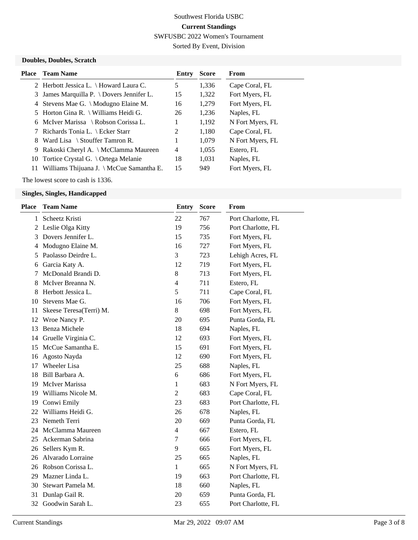Sorted By Event, Division

### **Doubles, Doubles, Scratch**

|    | <b>Place</b> Team Name                               | Entry | <b>Score</b> | From             |
|----|------------------------------------------------------|-------|--------------|------------------|
|    | 2 Herbott Jessica L. \ Howard Laura C.               | 5     | 1,336        | Cape Coral, FL   |
|    | 3 James Marquilla P. $\backslash$ Dovers Jennifer L. | 15    | 1,322        | Fort Myers, FL   |
|    | 4 Stevens Mae G. \ Modugno Elaine M.                 | 16    | 1,279        | Fort Myers, FL   |
|    | 5 Horton Gina R. \ Williams Heidi G.                 | 26    | 1,236        | Naples, FL       |
|    | 6 McIver Marissa \ Robson Corissa L.                 | 1     | 1,192        | N Fort Myers, FL |
|    | 7 Richards Tonia L. \ Ecker Starr                    | 2     | 1,180        | Cape Coral, FL   |
| 8. | Ward Lisa \ Stouffer Tamron R.                       | 1     | 1,079        | N Fort Myers, FL |
|    | 9 Rakoski Cheryl A. \ McClamma Maureen               | 4     | 1,055        | Estero. FL       |
|    | 10 Tortice Crystal G. \ Ortega Melanie               | 18    | 1.031        | Naples, FL       |
| 11 | Williams Thijuana J. $\M$ cCue Samantha E.           | 15    | 949          | Fort Myers, FL   |

The lowest score to cash is 1336.

#### **Singles, Singles, Handicapped**

| Place | <b>Team Name</b>        | <b>Entry</b>   | <b>Score</b> | From               |
|-------|-------------------------|----------------|--------------|--------------------|
| 1     | Scheetz Kristi          | 22             | 767          | Port Charlotte, FL |
| 2     | Leslie Olga Kitty       | 19             | 756          | Port Charlotte, FL |
| 3     | Dovers Jennifer L.      | 15             | 735          | Fort Myers, FL     |
| 4     | Modugno Elaine M.       | 16             | 727          | Fort Myers, FL     |
| 5     | Paolasso Deirdre L.     | 3              | 723          | Lehigh Acres, FL   |
| 6     | Garcia Katy A.          | 12             | 719          | Fort Myers, FL     |
| 7     | McDonald Brandi D.      | 8              | 713          | Fort Myers, FL     |
| 8     | McIver Breanna N.       | 4              | 711          | Estero, FL         |
| 8     | Herbott Jessica L.      | 5              | 711          | Cape Coral, FL     |
| 10    | Stevens Mae G.          | 16             | 706          | Fort Myers, FL     |
| 11    | Skeese Teresa(Terri) M. | 8              | 698          | Fort Myers, FL     |
| 12    | Wroe Nancy P.           | 20             | 695          | Punta Gorda, FL    |
| 13    | Benza Michele           | 18             | 694          | Naples, FL         |
| 14    | Gruelle Virginia C.     | 12             | 693          | Fort Myers, FL     |
| 15    | McCue Samantha E.       | 15             | 691          | Fort Myers, FL     |
| 16    | Agosto Nayda            | 12             | 690          | Fort Myers, FL     |
| 17    | Wheeler Lisa            | 25             | 688          | Naples, FL         |
| 18    | Bill Barbara A.         | 6              | 686          | Fort Myers, FL     |
| 19    | <b>McIver Marissa</b>   | 1              | 683          | N Fort Myers, FL   |
| 19    | Williams Nicole M.      | $\overline{c}$ | 683          | Cape Coral, FL     |
| 19    | Conwi Emily             | 23             | 683          | Port Charlotte, FL |
| 22    | Williams Heidi G.       | 26             | 678          | Naples, FL         |
| 23    | Nemeth Terri            | 20             | 669          | Punta Gorda, FL    |
| 24    | McClamma Maureen        | 4              | 667          | Estero, FL         |
| 25    | Ackerman Sabrina        | 7              | 666          | Fort Myers, FL     |
| 26    | Sellers Kym R.          | 9              | 665          | Fort Myers, FL     |
| 26    | Alvarado Lorraine       | 25             | 665          | Naples, FL         |
| 26    | Robson Corissa L.       | 1              | 665          | N Fort Myers, FL   |
| 29    | Mazner Linda L.         | 19             | 663          | Port Charlotte, FL |
| 30    | Stewart Pamela M.       | 18             | 660          | Naples, FL         |
| 31    | Dunlap Gail R.          | 20             | 659          | Punta Gorda, FL    |
| 32    | Goodwin Sarah L.        | 23             | 655          | Port Charlotte, FL |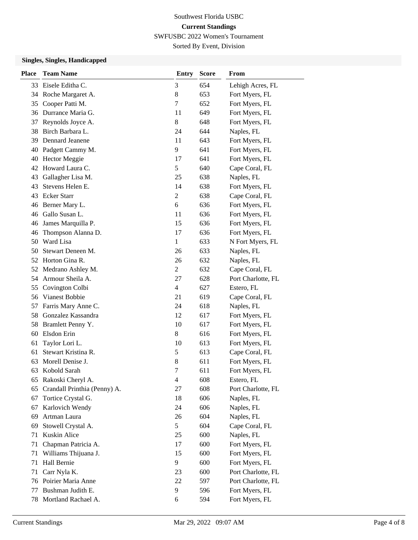# Southwest Florida USBC **Current Standings**

SWFUSBC 2022 Women's Tournament

Sorted By Event, Division

### **Singles, Singles, Handicapped**

| <b>Place</b> | <b>Team Name</b>             | <b>Entry</b>   | <b>Score</b> | From               |
|--------------|------------------------------|----------------|--------------|--------------------|
| 33           | Eisele Editha C.             | 3              | 654          | Lehigh Acres, FL   |
| 34           | Roche Margaret A.            | 8              | 653          | Fort Myers, FL     |
| 35           | Cooper Patti M.              | 7              | 652          | Fort Myers, FL     |
| 36           | Durrance Maria G.            | 11             | 649          | Fort Myers, FL     |
| 37           | Reynolds Joyce A.            | 8              | 648          | Fort Myers, FL     |
| 38           | Birch Barbara L.             | 24             | 644          | Naples, FL         |
| 39           | Dennard Jeanene              | 11             | 643          | Fort Myers, FL     |
| 40           | Padgett Cammy M.             | 9              | 641          | Fort Myers, FL     |
| 40           | <b>Hector Meggie</b>         | 17             | 641          | Fort Myers, FL     |
| 42           | Howard Laura C.              | 5              | 640          | Cape Coral, FL     |
| 43           | Gallagher Lisa M.            | 25             | 638          | Naples, FL         |
| 43           | Stevens Helen E.             | 14             | 638          | Fort Myers, FL     |
| 43           | <b>Ecker Starr</b>           | 2              | 638          | Cape Coral, FL     |
| 46           | Berner Mary L.               | 6              | 636          | Fort Myers, FL     |
| 46           | Gallo Susan L.               | 11             | 636          | Fort Myers, FL     |
| 46           | James Marquilla P.           | 15             | 636          | Fort Myers, FL     |
| 46           | Thompson Alanna D.           | 17             | 636          | Fort Myers, FL     |
| 50           | Ward Lisa                    | 1              | 633          | N Fort Myers, FL   |
| 50           | Stewart Deneen M.            | 26             | 633          | Naples, FL         |
| 52           | Horton Gina R.               | 26             | 632          | Naples, FL         |
| 52           | Medrano Ashley M.            | 2              | 632          | Cape Coral, FL     |
| 54           | Armour Sheila A.             | 27             | 628          | Port Charlotte, FL |
| 55           | Covington Colbi              | $\overline{4}$ | 627          | Estero, FL         |
| 56           | Vianest Bobbie               | 21             | 619          | Cape Coral, FL     |
| 57           | Farris Mary Anne C.          | 24             | 618          | Naples, FL         |
| 58           | Gonzalez Kassandra           | 12             | 617          | Fort Myers, FL     |
| 58           | Bramlett Penny Y.            | 10             | 617          | Fort Myers, FL     |
| 60           | Elsdon Erin                  | 8              | 616          | Fort Myers, FL     |
| 61           | Taylor Lori L.               | 10             | 613          | Fort Myers, FL     |
| 61           | Stewart Kristina R.          | 5              | 613          | Cape Coral, FL     |
| 63           | Morell Denise J.             | 8              | 611          | Fort Myers, FL     |
| 63           | Kobold Sarah                 | 7              | 611          | Fort Myers, FL     |
| 65           | Rakoski Cheryl A.            | $\overline{4}$ | 608          | Estero, FL         |
| 65           | Crandall Printhia (Penny) A. | 27             | 608          | Port Charlotte, FL |
| 67           | Tortice Crystal G.           | 18             | 606          | Naples, FL         |
| 67           | Karlovich Wendy              | 24             | 606          | Naples, FL         |
| 69           | Artman Laura                 | 26             | 604          | Naples, FL         |
| 69           | Stowell Crystal A.           | 5              | 604          | Cape Coral, FL     |
| 71           | Kuskin Alice                 | 25             | 600          | Naples, FL         |
| 71           | Chapman Patricia A.          | 17             | 600          | Fort Myers, FL     |
| 71           | Williams Thijuana J.         | 15             | 600          | Fort Myers, FL     |
| 71           | Hall Bernie                  | 9              | 600          | Fort Myers, FL     |
| 71           | Carr Nyla K.                 | 23             | 600          | Port Charlotte, FL |
| 76           | Poirier Maria Anne           | 22             | 597          | Port Charlotte, FL |
| 77           | Bushman Judith E.            | 9              | 596          | Fort Myers, FL     |
| 78           | Mortland Rachael A.          | 6              | 594          | Fort Myers, FL     |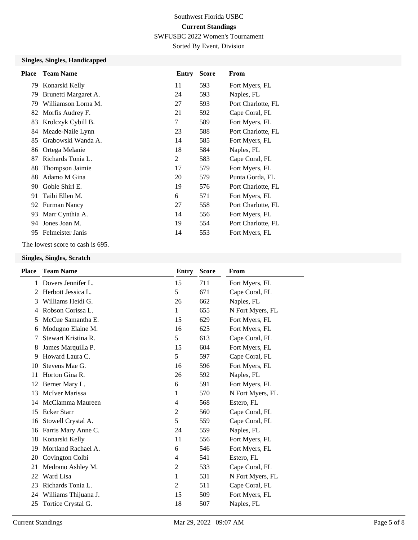Sorted By Event, Division

### **Singles, Singles, Handicapped**

| <b>Place</b> | <b>Team Name</b>     | Entry | <b>Score</b> | From               |
|--------------|----------------------|-------|--------------|--------------------|
| 79           | Konarski Kelly       | 11    | 593          | Fort Myers, FL     |
| 79           | Brunetti Margaret A. | 24    | 593          | Naples, FL         |
| 79           | Williamson Lorna M.  | 27    | 593          | Port Charlotte, FL |
| 82           | Morfis Audrey F.     | 21    | 592          | Cape Coral, FL     |
| 83           | Krolczyk Cybill B.   | 7     | 589          | Fort Myers, FL     |
| 84           | Meade-Naile Lynn     | 23    | 588          | Port Charlotte, FL |
| 85           | Grabowski Wanda A.   | 14    | 585          | Fort Myers, FL     |
| 86           | Ortega Melanie       | 18    | 584          | Naples, FL         |
| 87           | Richards Tonia L.    | 2     | 583          | Cape Coral, FL     |
| 88           | Thompson Jaimie      | 17    | 579          | Fort Myers, FL     |
| 88           | Adamo M Gina         | 20    | 579          | Punta Gorda, FL    |
| 90           | Goble Shirl E.       | 19    | 576          | Port Charlotte, FL |
| 91           | Taibi Ellen M.       | 6     | 571          | Fort Myers, FL     |
|              | 92 Furman Nancy      | 27    | 558          | Port Charlotte, FL |
| 93           | Marr Cynthia A.      | 14    | 556          | Fort Myers, FL     |
| 94           | Jones Joan M.        | 19    | 554          | Port Charlotte, FL |
| 95           | Felmeister Janis     | 14    | 553          | Fort Myers, FL     |
|              |                      |       |              |                    |

The lowest score to cash is 695.

#### **Singles, Singles, Scratch**

| <b>Place</b> | <b>Team Name</b>      | Entry          | <b>Score</b> | From             |
|--------------|-----------------------|----------------|--------------|------------------|
| 1            | Dovers Jennifer L.    | 15             | 711          | Fort Myers, FL   |
| 2            | Herbott Jessica L.    | 5              | 671          | Cape Coral, FL   |
| 3            | Williams Heidi G.     | 26             | 662          | Naples, FL       |
| 4            | Robson Corissa L.     | $\mathbf{1}$   | 655          | N Fort Myers, FL |
| 5            | McCue Samantha E.     | 15             | 629          | Fort Myers, FL   |
| 6            | Modugno Elaine M.     | 16             | 625          | Fort Myers, FL   |
| 7            | Stewart Kristina R.   | 5              | 613          | Cape Coral, FL   |
| 8            | James Marquilla P.    | 15             | 604          | Fort Myers, FL   |
| 9            | Howard Laura C.       | 5              | 597          | Cape Coral, FL   |
| 10           | Stevens Mae G.        | 16             | 596          | Fort Myers, FL   |
| 11           | Horton Gina R.        | 26             | 592          | Naples, FL       |
| 12           | Berner Mary L.        | 6              | 591          | Fort Myers, FL   |
| 13           | <b>McIver Marissa</b> | 1              | 570          | N Fort Myers, FL |
| 14           | McClamma Maureen      | 4              | 568          | Estero, FL       |
| 15           | <b>Ecker Starr</b>    | $\overline{c}$ | 560          | Cape Coral, FL   |
| 16           | Stowell Crystal A.    | 5              | 559          | Cape Coral, FL   |
| 16           | Farris Mary Anne C.   | 24             | 559          | Naples, FL       |
| 18           | Konarski Kelly        | 11             | 556          | Fort Myers, FL   |
| 19           | Mortland Rachael A.   | 6              | 546          | Fort Myers, FL   |
| 20           | Covington Colbi       | 4              | 541          | Estero, FL       |
| 21           | Medrano Ashley M.     | 2              | 533          | Cape Coral, FL   |
| 22           | Ward Lisa             | 1              | 531          | N Fort Myers, FL |
| 23           | Richards Tonia L.     | 2              | 511          | Cape Coral, FL   |
| 24           | Williams Thijuana J.  | 15             | 509          | Fort Myers, FL   |
| 25           | Tortice Crystal G.    | 18             | 507          | Naples, FL       |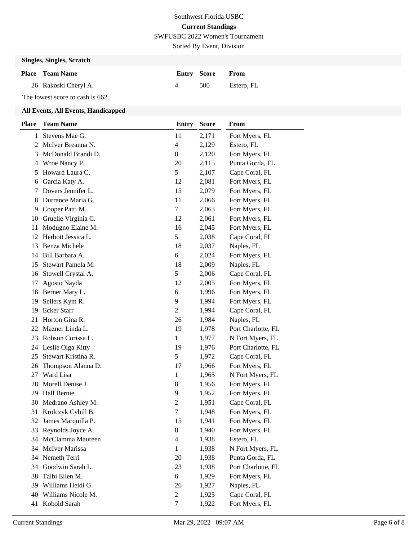Sorted By Event, Division

### **Singles, Singles, Scratch**

| <b>Place</b> Team Name | <b>Entry Score From</b> |            |
|------------------------|-------------------------|------------|
| 26 Rakoski Cheryl A.   | 500                     | Estero. FL |

The lowest score to cash is 662.

### **All Events, All Events, Handicapped**

| <b>Place</b> | <b>Team Name</b>     | <b>Entry</b>   | <b>Score</b> | From               |
|--------------|----------------------|----------------|--------------|--------------------|
| 1            | Stevens Mae G.       | 11             | 2,171        | Fort Myers, FL     |
| 2            | McIver Breanna N.    | $\overline{4}$ | 2,129        | Estero, FL         |
| 3            | McDonald Brandi D.   | 8              | 2,120        | Fort Myers, FL     |
| 4            | Wroe Nancy P.        | 20             | 2,115        | Punta Gorda, FL    |
| 5            | Howard Laura C.      | 5              | 2,107        | Cape Coral, FL     |
| 6            | Garcia Katy A.       | 12             | 2,081        | Fort Myers, FL     |
| 7            | Dovers Jennifer L.   | 15             | 2,079        | Fort Myers, FL     |
| 8            | Durrance Maria G.    | 11             | 2,066        | Fort Myers, FL     |
| 9            | Cooper Patti M.      | $\tau$         | 2,063        | Fort Myers, FL     |
| 10           | Gruelle Virginia C.  | 12             | 2,061        | Fort Myers, FL     |
| 11           | Modugno Elaine M.    | 16             | 2,045        | Fort Myers, FL     |
| 12           | Herbott Jessica L.   | 5              | 2,038        | Cape Coral, FL     |
| 13           | Benza Michele        | 18             | 2,037        | Naples, FL         |
| 14           | Bill Barbara A.      | 6              | 2,024        | Fort Myers, FL     |
| 15           | Stewart Pamela M.    | 18             | 2,009        | Naples, FL         |
| 16           | Stowell Crystal A.   | 5              | 2,006        | Cape Coral, FL     |
| 17           | Agosto Nayda         | 12             | 2,005        | Fort Myers, FL     |
| 18           | Berner Mary L.       | 6              | 1,996        | Fort Myers, FL     |
| 19           | Sellers Kym R.       | 9              | 1,994        | Fort Myers, FL     |
| 19           | <b>Ecker Starr</b>   | $\mathbf{2}$   | 1,994        | Cape Coral, FL     |
| 21           | Horton Gina R.       | 26             | 1,984        | Naples, FL         |
| 22           | Mazner Linda L.      | 19             | 1,978        | Port Charlotte, FL |
| 23           | Robson Corissa L.    | $\mathbf{1}$   | 1,977        | N Fort Myers, FL   |
| 24           | Leslie Olga Kitty    | 19             | 1,976        | Port Charlotte, FL |
| 25           | Stewart Kristina R.  | 5              | 1,972        | Cape Coral, FL     |
| 26           | Thompson Alanna D.   | 17             | 1,966        | Fort Myers, FL     |
| 27           | Ward Lisa            | 1              | 1,965        | N Fort Myers, FL   |
| 28           | Morell Denise J.     | 8              | 1,956        | Fort Myers, FL     |
| 29           | Hall Bernie          | 9              | 1,952        | Fort Myers, FL     |
| 30           | Medrano Ashley M.    | $\overline{c}$ | 1,951        | Cape Coral, FL     |
| 31           | Krolczyk Cybill B.   | 7              | 1,948        | Fort Myers, FL     |
| 32           | James Marquilla P.   | 15             | 1,941        | Fort Myers, FL     |
|              | 33 Reynolds Joyce A. | 8              | 1,940        | Fort Myers, FL     |
| 34           | McClamma Maureen     | $\overline{4}$ | 1,938        | Estero, FL         |
| 34           | McIver Marissa       | $\mathbf{1}$   | 1,938        | N Fort Myers, FL   |
| 34           | Nemeth Terri         | 20             | 1,938        | Punta Gorda, FL    |
| 34           | Goodwin Sarah L.     | 23             | 1,938        | Port Charlotte, FL |
| 38           | Taibi Ellen M.       | 6              | 1,929        | Fort Myers, FL     |
| 39           | Williams Heidi G.    | 26             | 1,927        | Naples, FL         |
| 40           | Williams Nicole M.   | $\overline{c}$ | 1,925        | Cape Coral, FL     |
| 41           | Kobold Sarah         | 7              | 1,922        | Fort Myers, FL     |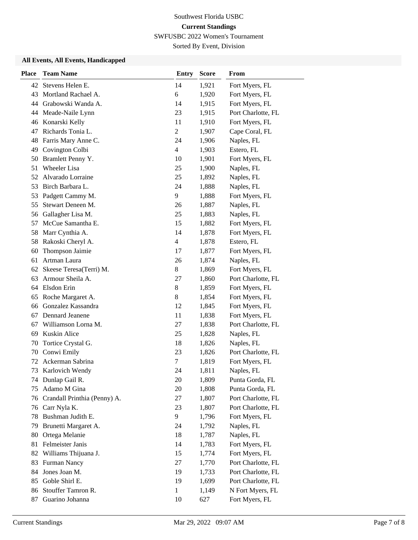# Southwest Florida USBC **Current Standings**

SWFUSBC 2022 Women's Tournament

Sorted By Event, Division

### **All Events, All Events, Handicapped**

| <b>Place</b> | <b>Team Name</b>             | <b>Entry</b>             | <b>Score</b> | From               |
|--------------|------------------------------|--------------------------|--------------|--------------------|
| 42           | Stevens Helen E.             | 14                       | 1,921        | Fort Myers, FL     |
| 43           | Mortland Rachael A.          | 6                        | 1,920        | Fort Myers, FL     |
| 44           | Grabowski Wanda A.           | 14                       | 1,915        | Fort Myers, FL     |
| 44           | Meade-Naile Lynn             | 23                       | 1,915        | Port Charlotte, FL |
| 46           | Konarski Kelly               | 11                       | 1,910        | Fort Myers, FL     |
| 47           | Richards Tonia L.            | $\overline{c}$           | 1,907        | Cape Coral, FL     |
| 48           | Farris Mary Anne C.          | 24                       | 1,906        | Naples, FL         |
| 49           | Covington Colbi              | $\overline{\mathcal{L}}$ | 1,903        | Estero, FL         |
| 50           | Bramlett Penny Y.            | 10                       | 1,901        | Fort Myers, FL     |
| 51           | <b>Wheeler Lisa</b>          | 25                       | 1,900        | Naples, FL         |
| 52           | Alvarado Lorraine            | 25                       | 1,892        | Naples, FL         |
| 53           | Birch Barbara L.             | 24                       | 1,888        | Naples, FL         |
| 53           | Padgett Cammy M.             | 9                        | 1,888        | Fort Myers, FL     |
| 55           | Stewart Deneen M.            | 26                       | 1,887        | Naples, FL         |
| 56           | Gallagher Lisa M.            | 25                       | 1,883        | Naples, FL         |
| 57           | McCue Samantha E.            | 15                       | 1,882        | Fort Myers, FL     |
| 58           | Marr Cynthia A.              | 14                       | 1,878        | Fort Myers, FL     |
| 58           | Rakoski Cheryl A.            | 4                        | 1,878        | Estero, FL         |
| 60           | Thompson Jaimie              | 17                       | 1,877        | Fort Myers, FL     |
| 61           | Artman Laura                 | 26                       | 1,874        | Naples, FL         |
| 62           | Skeese Teresa(Terri) M.      | 8                        | 1,869        | Fort Myers, FL     |
| 63           | Armour Sheila A.             | 27                       | 1,860        | Port Charlotte, FL |
|              | 64 Elsdon Erin               | 8                        | 1,859        | Fort Myers, FL     |
| 65           | Roche Margaret A.            | 8                        | 1,854        | Fort Myers, FL     |
| 66           | Gonzalez Kassandra           | 12                       | 1,845        | Fort Myers, FL     |
| 67           | Dennard Jeanene              | 11                       | 1,838        | Fort Myers, FL     |
| 67           | Williamson Lorna M.          | 27                       | 1,838        | Port Charlotte, FL |
| 69           | Kuskin Alice                 | 25                       | 1,828        | Naples, FL         |
| 70           | Tortice Crystal G.           | 18                       | 1,826        | Naples, FL         |
| 70           | Conwi Emily                  | 23                       | 1,826        | Port Charlotte, FL |
| 72           | Ackerman Sabrina             | 7                        | 1,819        | Fort Myers, FL     |
| 73           | Karlovich Wendy              | 24                       | 1,811        | Naples, FL         |
|              | 74 Dunlap Gail R.            | 20                       | 1,809        | Punta Gorda, FL    |
| 75           | Adamo M Gina                 | 20                       | 1,808        | Punta Gorda, FL    |
| 76           | Crandall Printhia (Penny) A. | 27                       | 1,807        | Port Charlotte, FL |
|              | 76 Carr Nyla K.              | 23                       | 1,807        | Port Charlotte, FL |
| 78           | Bushman Judith E.            | 9                        | 1,796        | Fort Myers, FL     |
| 79           | Brunetti Margaret A.         | 24                       | 1,792        | Naples, FL         |
| 80           | Ortega Melanie               | 18                       | 1,787        | Naples, FL         |
| 81           | Felmeister Janis             | 14                       | 1,783        | Fort Myers, FL     |
| 82           | Williams Thijuana J.         | 15                       | 1,774        | Fort Myers, FL     |
| 83           | Furman Nancy                 | 27                       | 1,770        | Port Charlotte, FL |
| 84           | Jones Joan M.                | 19                       | 1,733        | Port Charlotte, FL |
| 85           | Goble Shirl E.               | 19                       | 1,699        | Port Charlotte, FL |
| 86           | Stouffer Tamron R.           | 1                        | 1,149        | N Fort Myers, FL   |
| 87           | Guarino Johanna              | 10                       | 627          | Fort Myers, FL     |